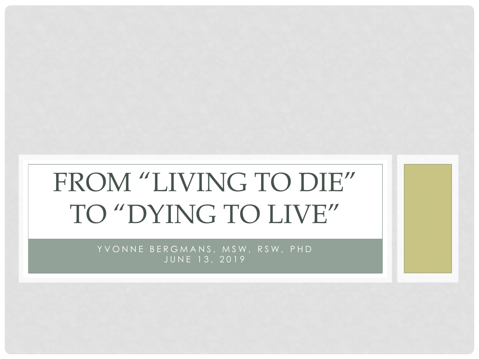# FROM "LIVING TO DIE" TO "DYING TO LIVE"

YVONNE BERGMANS, MSW, RSW, PHD JUNE 13, 2019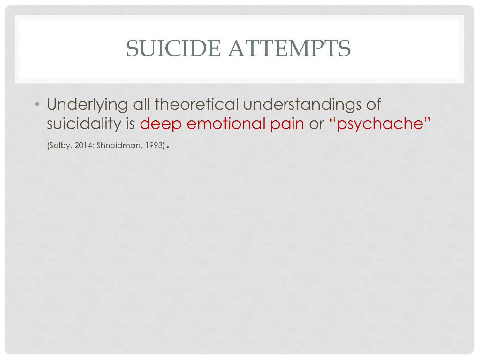### SUICIDE ATTEMPTS

• Underlying all theoretical understandings of suicidality is deep emotional pain or "psychache"

(Selby, 2014; Shneidman, 1993).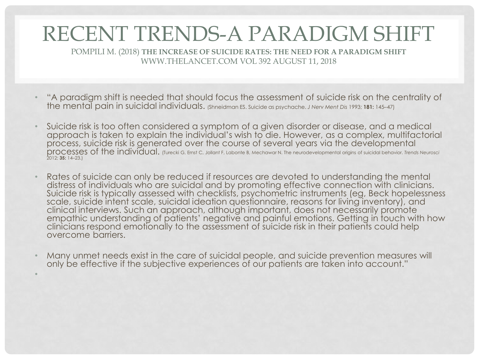#### RECENT TRENDS-A PARADIGM SHIFT

POMPILI M. (2018) **THE INCREASE OF SUICIDE RATES: THE NEED FOR A PARADIGM SHIFT**  WWW.THELANCET.COM VOL 392 AUGUST 11, 2018

- "A paradigm shift is needed that should focus the assessment of suicide risk on the centrality of the mental pain in suicidal individuals. (Shneidman ES. Suicide as psychache. *J Nerv Ment Dis* 1993; **181:** 145–47)
- Suicide risk is too often considered a symptom of a given disorder or disease, and a medical approach is taken to explain the individual's wish to die. However, as a complex, multifactorial process, suicide risk is generated over the course of several years via the developmental processes of the individual. (Turecki G, Ernst C, Jollant F, Labonte B, Mechawar N. The neurodevelopmental origins of suicidal behavior. *Trends Neurosci* 2012; **35:** 14–23.)
- Rates of suicide can only be reduced if resources are devoted to understanding the mental distress of individuals who are suicidal and by promoting effective connection with clinicians. Suicide risk is typically assessed with checklists, psychometric instruments (eg, Beck hopelessness scale, suicide intent scale, suicidal ideation questionnaire, reasons for living inventory), and clinical interviews. Such an approach, although important, does not necessarily promote empathic understanding of patients' negative and painful emotions. Getting in touch with how clinicians respond emotionally to the assessment of suicide risk in their patients could help overcome barriers.
- Many unmet needs exist in the care of suicidal people, and suicide prevention measures will only be effective if the subjective experiences of our patients are taken into account."

•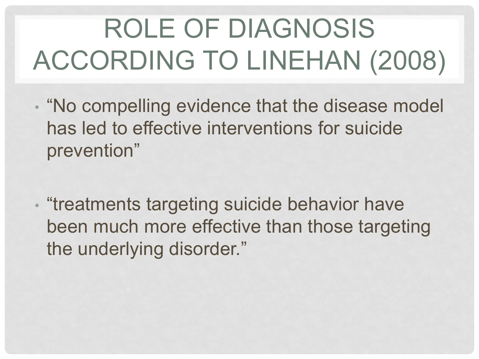# ROLE OF DIAGNOSIS ACCORDING TO LINEHAN (2008)

- "No compelling evidence that the disease model has led to effective interventions for suicide prevention"
- "treatments targeting suicide behavior have been much more effective than those targeting the underlying disorder."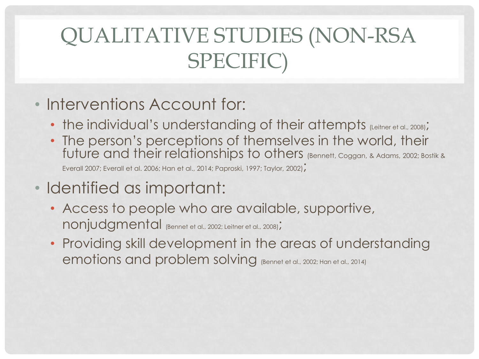### QUALITATIVE STUDIES (NON-RSA SPECIFIC)

- Interventions Account for:
	- the individual's understanding of their attempts (Leitner et al., 2008);
	- The person's perceptions of themselves in the world, their future and their relationships to others (Bennett, Coggan, & Adams, 2002; Bostik & Everall 2007; Everall et al. 2006; Han et al., 2014; Paproski, 1997; Taylor, 2002);
- Identified as important:
	- Access to people who are available, supportive, nonjudgmental (Bennet et al., 2002; Leitner et al., 2008);
	- Providing skill development in the areas of understanding emotions and problem solving (Bennet et al., 2002; Han et al., 2014)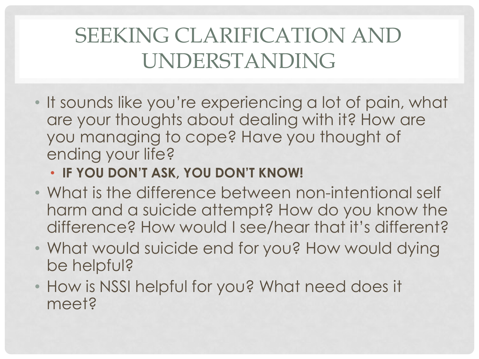### SEEKING CLARIFICATION AND UNDERSTANDING

• It sounds like you're experiencing a lot of pain, what are your thoughts about dealing with it? How are you managing to cope? Have you thought of ending your life?

#### • **IF YOU DON'T ASK, YOU DON'T KNOW!**

- What is the difference between non-intentional self harm and a suicide attempt? How do you know the difference? How would I see/hear that it's different?
- What would suicide end for you? How would dying be helpful?
- How is NSSI helpful for you? What need does it meet?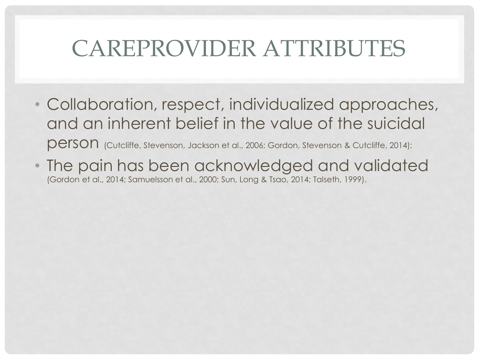## CAREPROVIDER ATTRIBUTES

- Collaboration, respect, individualized approaches, and an inherent belief in the value of the suicidal person (Cutcliffe, Stevenson, Jackson et al., 2006; Gordon, Stevenson & Cutcliffe, 2014);
- The pain has been acknowledged and validated (Gordon et al., 2014; Samuelsson et al., 2000; Sun, Long & Tsao, 2014; Talseth, 1999).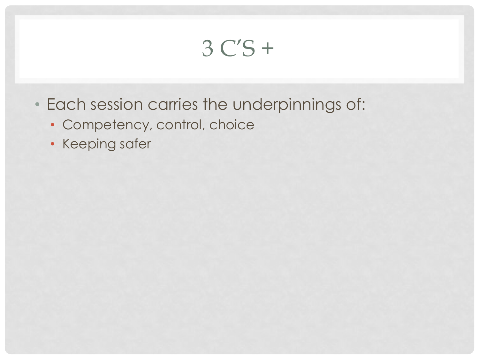## 3 C'S +

- Each session carries the underpinnings of:
	- Competency, control, choice
	- Keeping safer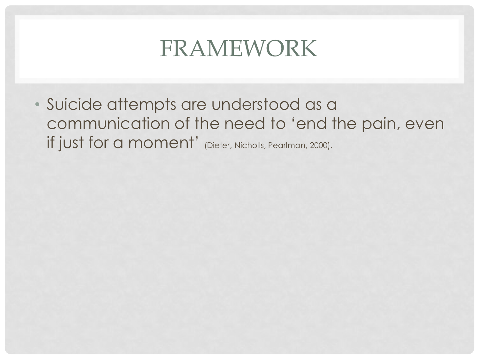### FRAMEWORK

• Suicide attempts are understood as a communication of the need to 'end the pain, even if just for a moment' (Dieter, Nicholls, Pearlman, 2000).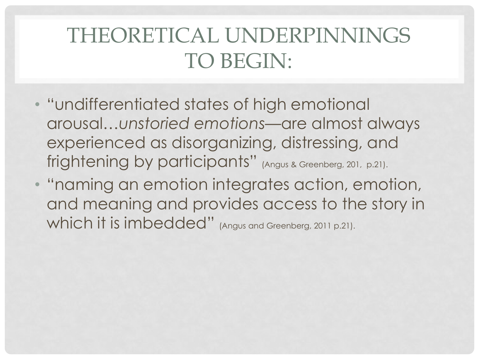### THEORETICAL UNDERPINNINGS TO BEGIN:

- "undifferentiated states of high emotional arousal…*unstoried emotions*—are almost always experienced as disorganizing, distressing, and frightening by participants" (Angus & Greenberg, 201, p.21).
- "naming an emotion integrates action, emotion, and meaning and provides access to the story in which it is imbedded" (Angus and Greenberg, 2011 p.21).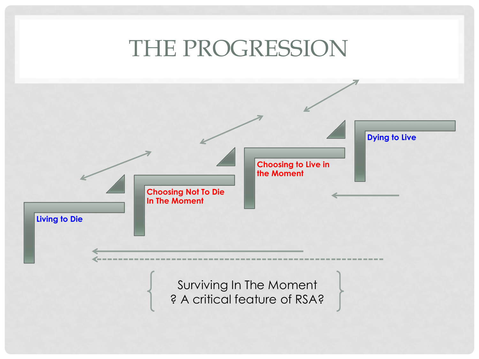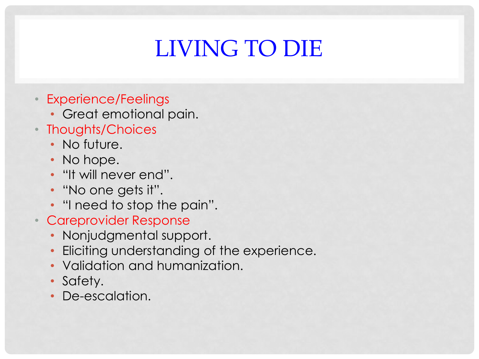# LIVING TO DIE

- Experience/Feelings
	- Great emotional pain.
- Thoughts/Choices
	- No future.
	- No hope.
	- "It will never end".
	- "No one gets it".
	- "I need to stop the pain".
- Careprovider Response
	- Nonjudgmental support.
	- Eliciting understanding of the experience.
	- Validation and humanization.
	- Safety.
	- De-escalation.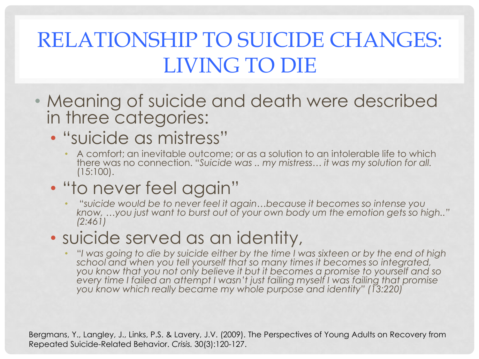### RELATIONSHIP TO SUICIDE CHANGES: LIVING TO DIE

- Meaning of suicide and death were described in three categories:
	- "suicide as mistress"
		- A comfort; an inevitable outcome; or as a solution to an intolerable life to which there was no connection. "*Suicide was .. my mistress… it was my solution for all.*  (15:100).
	- "to never feel again"
		- "*suicide would be to never feel it again…because it becomes so intense you know, …you just want to burst out of your own body um the emotion gets so high.." (2:461)*

#### • suicide served as an identity,

• "*I was going to die by suicide either by the time I was sixteen or by the end of high school and when you tell yourself that so many times it becomes so integrated, you know that you not only believe it but it becomes a promise to yourself and so every time I failed an attempt I wasn't just failing myself I was failing that promise you know which really became my whole purpose and identity" (13:220)*

Bergmans, Y., Langley, J., Links, P.S. & Lavery, J.V. (2009). The Perspectives of Young Adults on Recovery from Repeated Suicide-Related Behavior. *Crisis.* 30(3):120-127.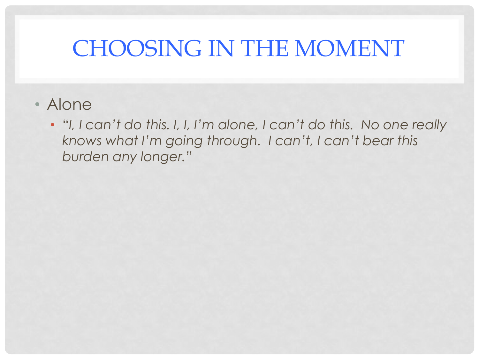## CHOOSING IN THE MOMENT

- Alone
	- "*I, I can't do this. I, I, I'm alone, I can't do this. No one really knows what I'm going through. I can't, I can't bear this burden any longer."*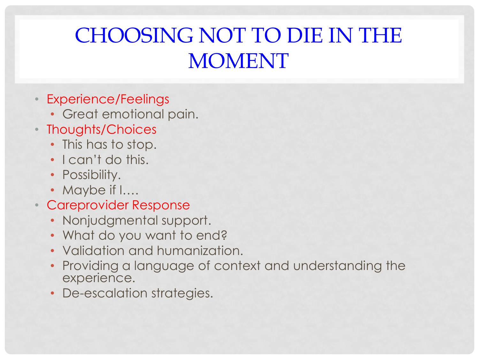- Experience/Feelings
	- Great emotional pain.
- Thoughts/Choices
	- This has to stop.
	- I can't do this.
	- Possibility.
	- Maybe if I….
- Careprovider Response
	- Nonjudgmental support.
	- What do you want to end?
	- Validation and humanization.
	- Providing a language of context and understanding the experience.
	- De-escalation strategies.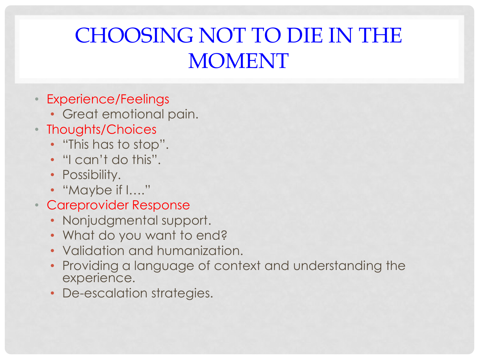- Experience/Feelings
	- Great emotional pain.
- Thoughts/Choices
	- "This has to stop".
	- "I can't do this".
	- Possibility.
	- "Maybe if I…."
- Careprovider Response
	- Nonjudgmental support.
	- What do you want to end?
	- Validation and humanization.
	- Providing a language of context and understanding the experience.
	- De-escalation strategies.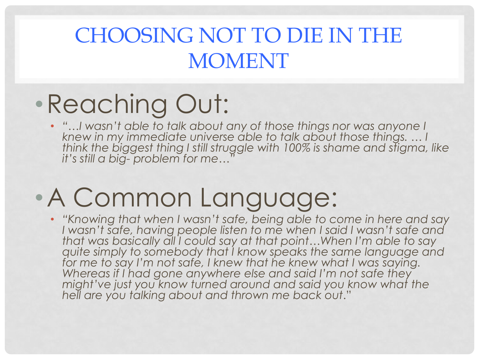# •Reaching Out:

• "…I wasn't able to talk about any of those things nor was anyone I *knew in my immediate universe able to talk about those things. … I think the biggest thing I still struggle with 100% is shame and stigma, like it's still a big- problem for me…"*

# •A Common Language:

• *"Knowing that when I wasn't safe, being able to come in here and say I wasn't safe, having people listen to me when I said I wasn't safe and that was basically all I could say at that point…When I'm able to say quite simply to somebody that I know speaks the same language and for me to say I'm not safe, I knew that he knew what I was saying. Whereas if I had gone anywhere else and said I'm not safe they might've just you know turned around and said you know what the hell are you talking about and thrown me back out*."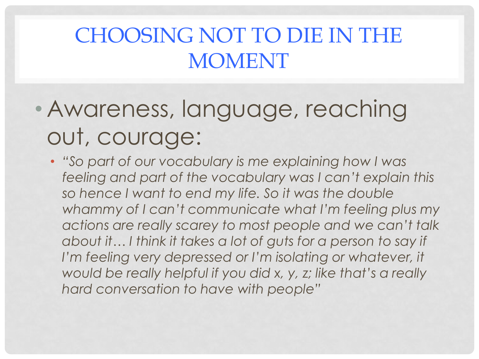# • Awareness, language, reaching out, courage:

• *"So part of our vocabulary is me explaining how I was feeling and part of the vocabulary was I can't explain this so hence I want to end my life. So it was the double whammy of I can't communicate what I'm feeling plus my actions are really scarey to most people and we can't talk about it… I think it takes a lot of guts for a person to say if I'm feeling very depressed or I'm isolating or whatever, it would be really helpful if you did x, y, z; like that's a really hard conversation to have with people"*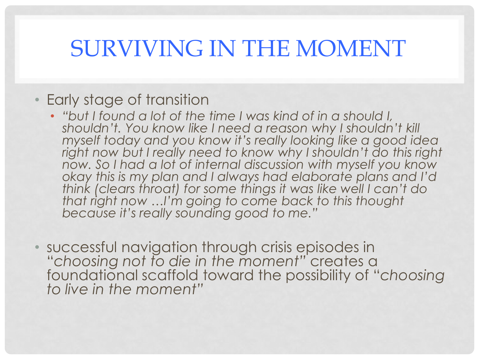### SURVIVING IN THE MOMENT

#### • Early stage of transition

- *"but I found a lot of the time I was kind of in a should I, shouldn't. You know like I need a reason why I shouldn't kill myself today and you know it's really looking like a good idea right now but I really need to know why I shouldn't do this right now. So I had a lot of internal discussion with myself you know okay this is my plan and I always had elaborate plans and I'd think (clears throat) for some things it was like well I can't do that right now …I'm going to come back to this thought because it's really sounding good to me."*
- successful navigation through crisis episodes in "*choosing not to die in the moment"* creates a foundational scaffold toward the possibility of "*choosing to live in the moment"*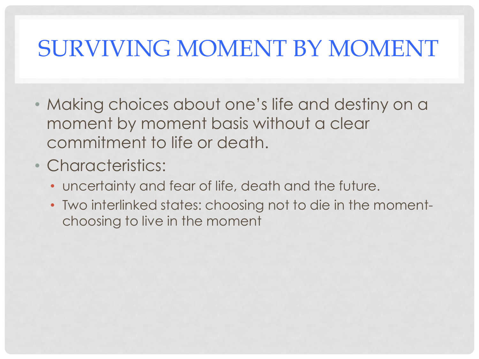## SURVIVING MOMENT BY MOMENT

- Making choices about one's life and destiny on a moment by moment basis without a clear commitment to life or death.
- Characteristics:
	- uncertainty and fear of life, death and the future.
	- Two interlinked states: choosing not to die in the momentchoosing to live in the moment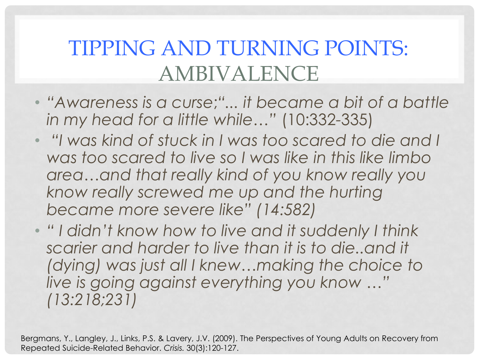### TIPPING AND TURNING POINTS: AMBIVALENCE

- *"Awareness is a curse*;*"... it became a bit of a battle in my head for a little while…"* (10:332-335)
- *"I was kind of stuck in I was too scared to die and I was too scared to live so I was like in this like limbo area…and that really kind of you know really you know really screwed me up and the hurting became more severe like" (14:582)*
- *" I didn't know how to live and it suddenly I think scarier and harder to live than it is to die..and it (dying) was just all I knew…making the choice to live is going against everything you know …" (13:218;231)*

Bergmans, Y., Langley, J., Links, P.S. & Lavery, J.V. (2009). The Perspectives of Young Adults on Recovery from Repeated Suicide-Related Behavior. *Crisis.* 30(3):120-127.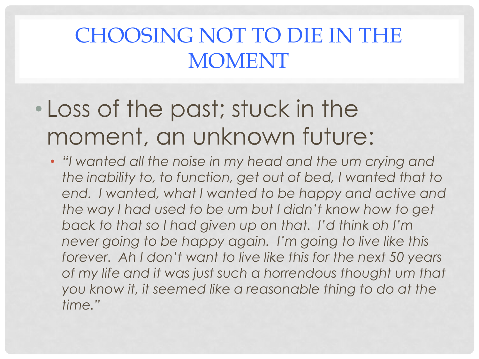- Loss of the past; stuck in the moment, an unknown future:
	- *"I wanted all the noise in my head and the um crying and the inability to, to function, get out of bed, I wanted that to*  end. I wanted, what I wanted to be happy and active and *the way I had used to be um but I didn't know how to get back to that so I had given up on that. I'd think oh I'm never going to be happy again. I'm going to live like this forever. Ah I don't want to live like this for the next 50 years of my life and it was just such a horrendous thought um that you know it, it seemed like a reasonable thing to do at the time."*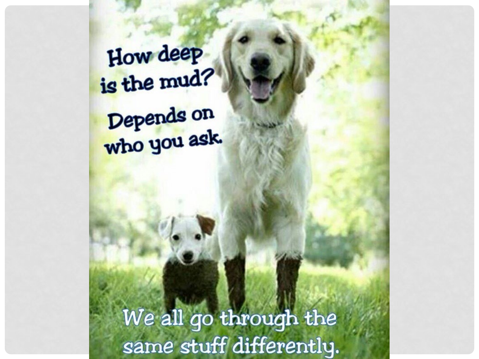How deep is the mud? Depends on<br>who you ask.

> We all go through the same stuff differently.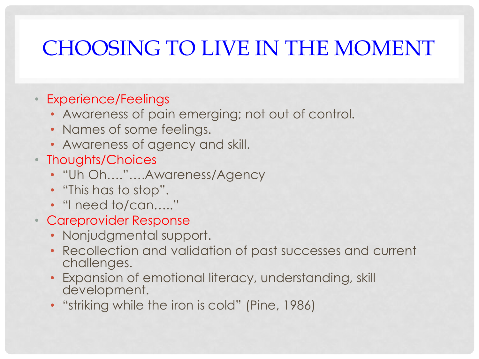- Experience/Feelings
	- Awareness of pain emerging; not out of control.
	- Names of some feelings.
	- Awareness of agency and skill.
- Thoughts/Choices
	- "Uh Oh…."….Awareness/Agency
	- "This has to stop".
	- "I need to/can....."
- Careprovider Response
	- Nonjudgmental support.
	- Recollection and validation of past successes and current challenges.
	- Expansion of emotional literacy, understanding, skill development.
	- "striking while the iron is cold" (Pine, 1986)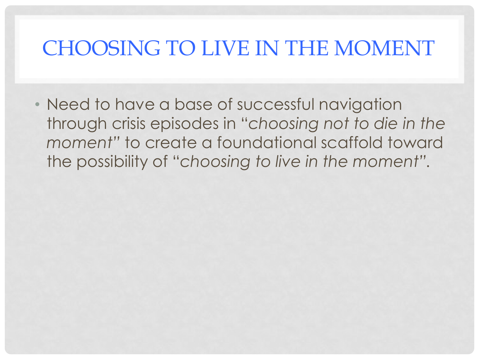• Need to have a base of successful navigation through crisis episodes in "*choosing not to die in the moment"* to create a foundational scaffold toward the possibility of "*choosing to live in the moment".*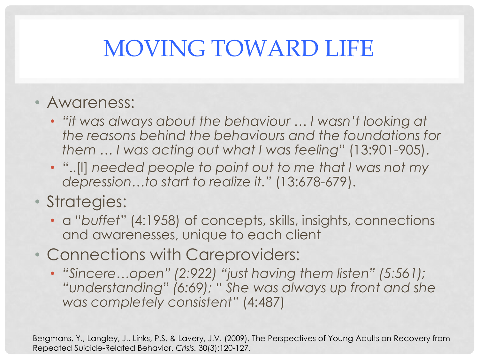## MOVING TOWARD LIFE

#### • Awareness:

- *"it was always about the behaviour … I wasn't looking at the reasons behind the behaviours and the foundations for them … I was acting out what I was feeling"* (13:901-905).
- "..[I] *needed people to point out to me that I was not my depression…to start to realize it."* (13:678-679).

#### • Strategies:

- a "*buffet*" (4:1958) of concepts, skills, insights, connections and awarenesses, unique to each client
- Connections with Careproviders:
	- *"Sincere…open" (2:922) "just having them listen" (5:561); "understanding" (6:69); " She was always up front and she was completely consistent"* (4:487)

Bergmans, Y., Langley, J., Links, P.S. & Lavery, J.V. (2009). The Perspectives of Young Adults on Recovery from Repeated Suicide-Related Behavior. *Crisis.* 30(3):120-127.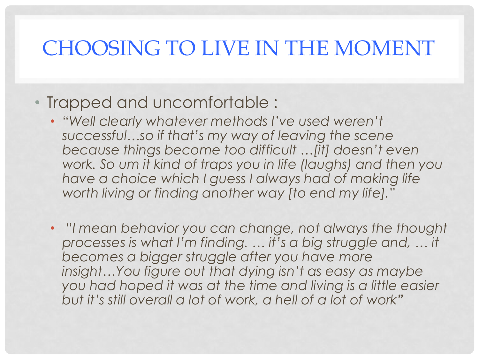#### • Trapped and uncomfortable :

- "*Well clearly whatever methods I've used weren't successful…so if that's my way of leaving the scene because things become too difficult …[it] doesn't even work. So um it kind of traps you in life (laughs) and then you have a choice which I guess I always had of making life worth living or finding another way [to end my life].*"
- "*I mean behavior you can change, not always the thought processes is what I'm finding. … it's a big struggle and, … it becomes a bigger struggle after you have more insight…You figure out that dying isn't as easy as maybe you had hoped it was at the time and living is a little easier but it's still overall a lot of work, a hell of a lot of work"*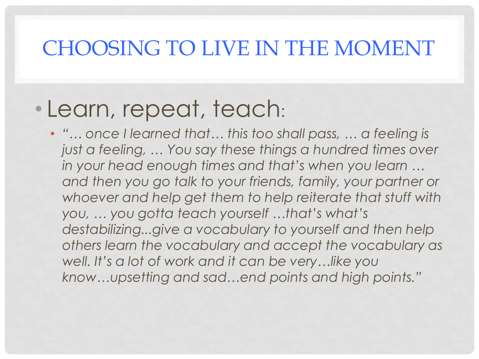#### • Learn, repeat, teach:

• *"… once I learned that… this too shall pass, … a feeling is just a feeling, … You say these things a hundred times over in your head enough times and that's when you learn …*  and then you go talk to your friends, family, your partner or *whoever and help get them to help reiterate that stuff with you, … you gotta teach yourself …that's what's destabilizing...give a vocabulary to yourself and then help others learn the vocabulary and accept the vocabulary as well. It's a lot of work and it can be very…like you know…upsetting and sad…end points and high points."*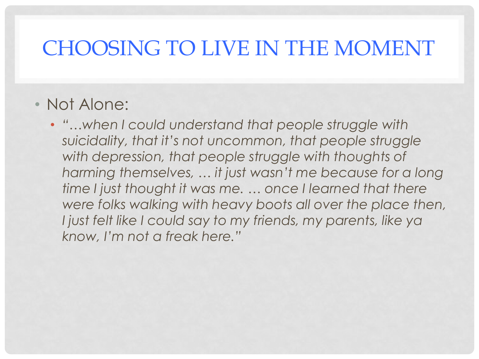#### • Not Alone:

• *"…when I could understand that people struggle with suicidality, that it's not uncommon, that people struggle*  with depression, that people struggle with thoughts of *harming themselves, … it just wasn't me because for a long time I just thought it was me. … once I learned that there were folks walking with heavy boots all over the place then, I just felt like I could say to my friends, my parents, like ya know, I'm not a freak here."*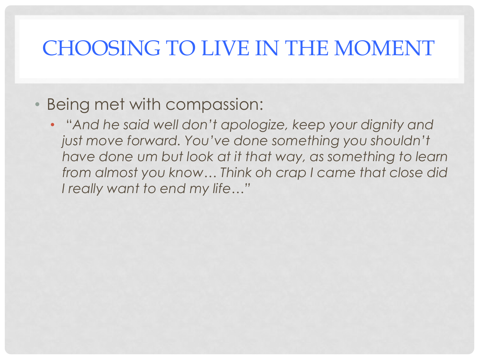#### • Being met with compassion:

• "*And he said well don't apologize, keep your dignity and just move forward. You've done something you shouldn't have done um but look at it that way, as something to learn from almost you know… Think oh crap I came that close did I really want to end my life…"*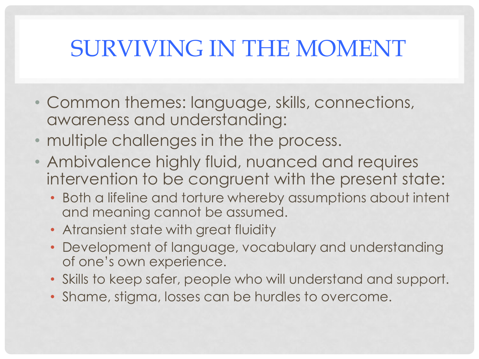## SURVIVING IN THE MOMENT

- Common themes: language, skills, connections, awareness and understanding:
- multiple challenges in the the process.
- Ambivalence highly fluid, nuanced and requires intervention to be congruent with the present state:
	- Both a lifeline and torture whereby assumptions about intent and meaning cannot be assumed.
	- Atransient state with great fluidity
	- Development of language, vocabulary and understanding of one's own experience.
	- Skills to keep safer, people who will understand and support.
	- Shame, stigma, losses can be hurdles to overcome.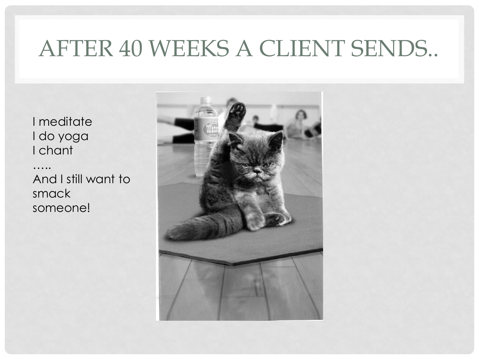## AFTER 40 WEEKS A CLIENT SENDS..

I meditate I do yoga I chant

…… And I still want to smack someone!

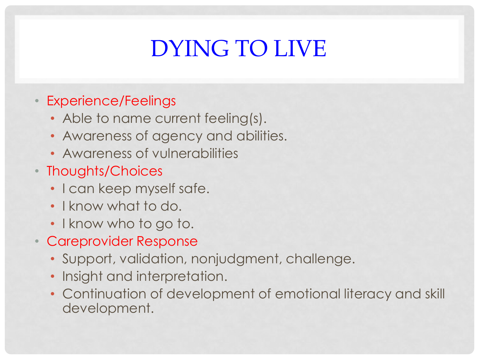# DYING TO LIVE

#### • Experience/Feelings

- Able to name current feeling(s).
- Awareness of agency and abilities.
- Awareness of vulnerabilities
- Thoughts/Choices
	- I can keep myself safe.
	- I know what to do.
	- I know who to go to.
- Careprovider Response
	- Support, validation, nonjudgment, challenge.
	- Insight and interpretation.
	- Continuation of development of emotional literacy and skill development.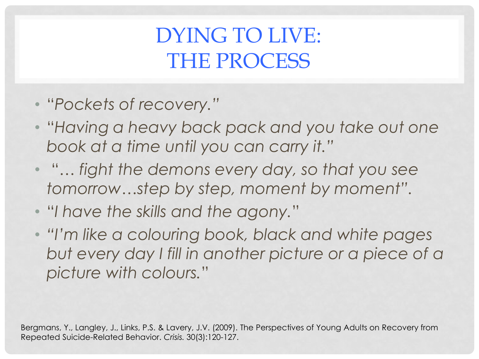### DYING TO LIVE: THE PROCESS

- "*Pockets of recovery."*
- "*Having a heavy back pack and you take out one book at a time until you can carry it."*
- "… *fight the demons every day, so that you see tomorrow…step by step, moment by moment".*
- "*I have the skills and the agony.*"
- *"I'm like a colouring book, black and white pages but every day I fill in another picture or a piece of a picture with colours.*"

Bergmans, Y., Langley, J., Links, P.S. & Lavery, J.V. (2009). The Perspectives of Young Adults on Recovery from Repeated Suicide-Related Behavior. *Crisis.* 30(3):120-127.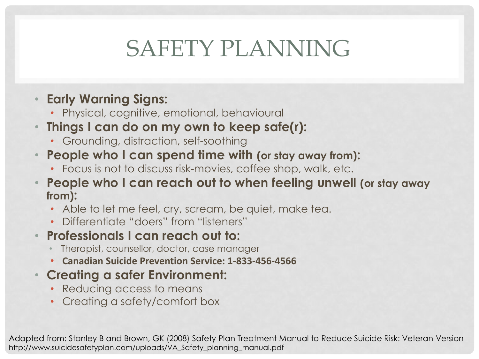## SAFETY PLANNING

#### • **Early Warning Signs:**

- Physical, cognitive, emotional, behavioural
- **Things I can do on my own to keep safe(r):**
	- Grounding, distraction, self-soothing
- **People who I can spend time with (or stay away from):**
	- Focus is not to discuss risk-movies, coffee shop, walk, etc.
- **People who I can reach out to when feeling unwell (or stay away from):**
	- Able to let me feel, cry, scream, be quiet, make tea.
	- Differentiate "doers" from "listeners"
- **Professionals I can reach out to:**
	- Therapist, counsellor, doctor, case manager
	- **Canadian Suicide Prevention Service: 1-833-456-4566**

#### • **Creating a safer Environment:**

- Reducing access to means
- Creating a safety/comfort box

Adapted from: Stanley B and Brown, GK (2008) Safety Plan Treatment Manual to Reduce Suicide Risk: Veteran Version http://www.suicidesafetyplan.com/uploads/VA\_Safety\_planning\_manual.pdf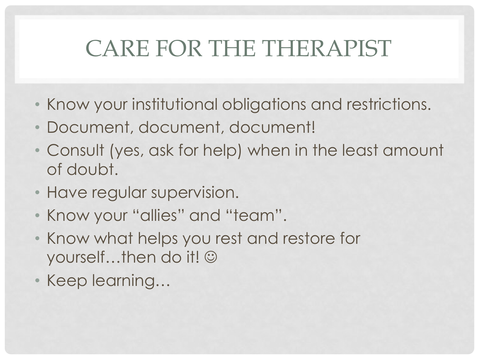## CARE FOR THE THERAPIST

- Know your institutional obligations and restrictions.
- Document, document, document!
- Consult (yes, ask for help) when in the least amount of doubt.
- Have regular supervision.
- Know your "allies" and "team".
- Know what helps you rest and restore for yourself...then do it! ©
- Keep learning…